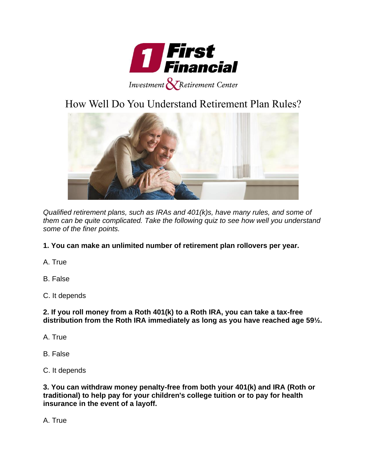

## How Well Do You Understand Retirement Plan Rules?



*Qualified retirement plans, such as IRAs and 401(k)s, have many rules, and some of them can be quite complicated. Take the following quiz to see how well you understand some of the finer points.*

## **1. You can make an unlimited number of retirement plan rollovers per year.**

A. True

B. False

C. It depends

**2. If you roll money from a Roth 401(k) to a Roth IRA, you can take a tax-free distribution from the Roth IRA immediately as long as you have reached age 59½.**

- A. True
- B. False
- C. It depends

**3. You can withdraw money penalty-free from both your 401(k) and IRA (Roth or traditional) to help pay for your children's college tuition or to pay for health insurance in the event of a layoff.**

A. True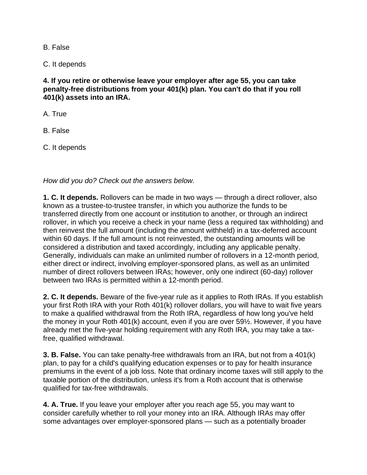B. False

C. It depends

**4. If you retire or otherwise leave your employer after age 55, you can take penalty-free distributions from your 401(k) plan. You can't do that if you roll 401(k) assets into an IRA.**

A. True

B. False

C. It depends

*How did you do? Check out the answers below.*

**1. C. It depends.** Rollovers can be made in two ways — through a direct rollover, also known as a trustee-to-trustee transfer, in which you authorize the funds to be transferred directly from one account or institution to another, or through an indirect rollover, in which you receive a check in your name (less a required tax withholding) and then reinvest the full amount (including the amount withheld) in a tax-deferred account within 60 days. If the full amount is not reinvested, the outstanding amounts will be considered a distribution and taxed accordingly, including any applicable penalty. Generally, individuals can make an unlimited number of rollovers in a 12-month period, either direct or indirect, involving employer-sponsored plans, as well as an unlimited number of direct rollovers between IRAs; however, only one indirect (60-day) rollover between two IRAs is permitted within a 12-month period.

**2. C. It depends.** Beware of the five-year rule as it applies to Roth IRAs. If you establish your first Roth IRA with your Roth 401(k) rollover dollars, you will have to wait five years to make a qualified withdrawal from the Roth IRA, regardless of how long you've held the money in your Roth 401(k) account, even if you are over 59½. However, if you have already met the five-year holding requirement with any Roth IRA, you may take a taxfree, qualified withdrawal.

**3. B. False.** You can take penalty-free withdrawals from an IRA, but not from a 401(k) plan, to pay for a child's qualifying education expenses or to pay for health insurance premiums in the event of a job loss. Note that ordinary income taxes will still apply to the taxable portion of the distribution, unless it's from a Roth account that is otherwise qualified for tax-free withdrawals.

**4. A. True.** If you leave your employer after you reach age 55, you may want to consider carefully whether to roll your money into an IRA. Although IRAs may offer some advantages over employer-sponsored plans — such as a potentially broader